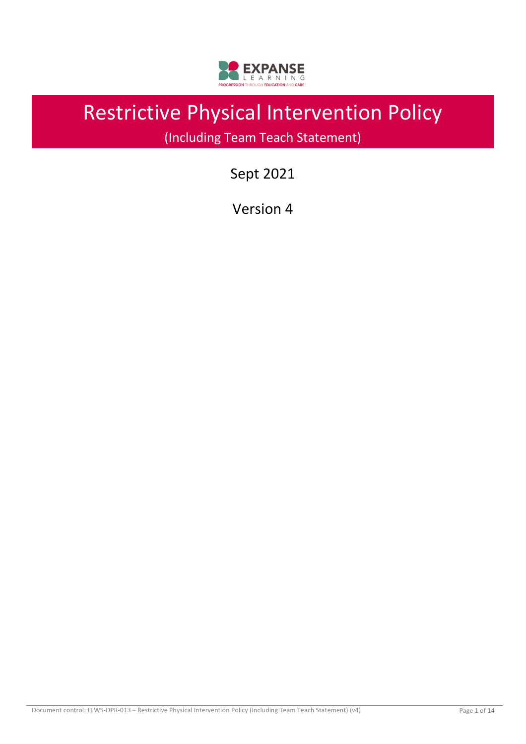

# Restrictive Physical Intervention Policy

(Including Team Teach Statement)

Sept 2021

Version 4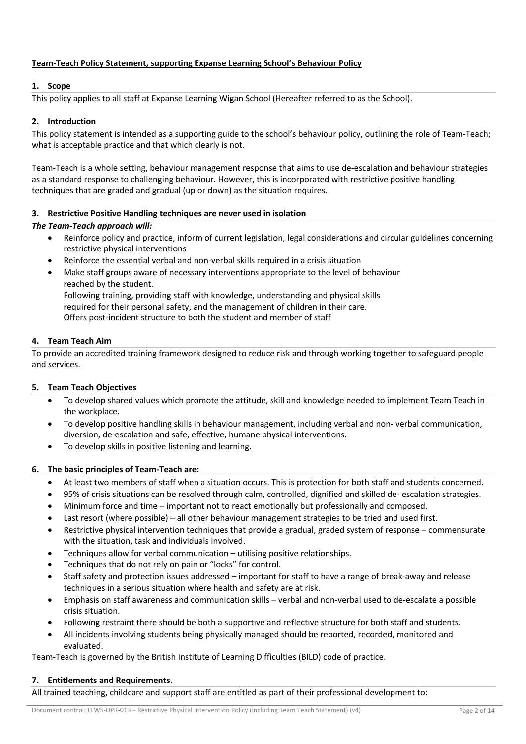# **Team-Teach Policy Statement, supporting Expanse Learning School's Behaviour Policy**

# **1. Scope**

This policy applies to all staff at Expanse Learning Wigan School (Hereafter referred to as the School).

# **2. Introduction**

This policy statement is intended as a supporting guide to the school's behaviour policy, outlining the role of Team-Teach; what is acceptable practice and that which clearly is not.

Team-Teach is a whole setting, behaviour management response that aims to use de-escalation and behaviour strategies as a standard response to challenging behaviour. However, this is incorporated with restrictive positive handling techniques that are graded and gradual (up or down) as the situation requires.

# **3. Restrictive Positive Handling techniques are never used in isolation**

# *The Team-Teach approach will:*

- Reinforce policy and practice, inform of current legislation, legal considerations and circular guidelines concerning restrictive physical interventions
- Reinforce the essential verbal and non-verbal skills required in a crisis situation
- Make staff groups aware of necessary interventions appropriate to the level of behaviour reached by the student. Following training, providing staff with knowledge, understanding and physical skills required for their personal safety, and the management of children in their care. Offers post-incident structure to both the student and member of staff

## **4. Team Teach Aim**

To provide an accredited training framework designed to reduce risk and through working together to safeguard people and services.

# **5. Team Teach Objectives**

- To develop shared values which promote the attitude, skill and knowledge needed to implement Team Teach in the workplace.
- To develop positive handling skills in behaviour management, including verbal and non- verbal communication, diversion, de-escalation and safe, effective, humane physical interventions.
- To develop skills in positive listening and learning.

# **6. The basic principles of Team-Teach are:**

- At least two members of staff when a situation occurs. This is protection for both staff and students concerned.
- 95% of crisis situations can be resolved through calm, controlled, dignified and skilled de- escalation strategies.
- Minimum force and time important not to react emotionally but professionally and composed.
- Last resort (where possible) all other behaviour management strategies to be tried and used first.
- Restrictive physical intervention techniques that provide a gradual, graded system of response commensurate with the situation, task and individuals involved.
- Techniques allow for verbal communication utilising positive relationships.
- Techniques that do not rely on pain or "locks" for control.
- Staff safety and protection issues addressed important for staff to have a range of break-away and release techniques in a serious situation where health and safety are at risk.
- Emphasis on staff awareness and communication skills verbal and non-verbal used to de-escalate a possible crisis situation.
- Following restraint there should be both a supportive and reflective structure for both staff and students.
- All incidents involving students being physically managed should be reported, recorded, monitored and evaluated.

Team-Teach is governed by the British Institute of Learning Difficulties (BILD) code of practice.

# **7. Entitlements and Requirements.**

All trained teaching, childcare and support staff are entitled as part of their professional development to: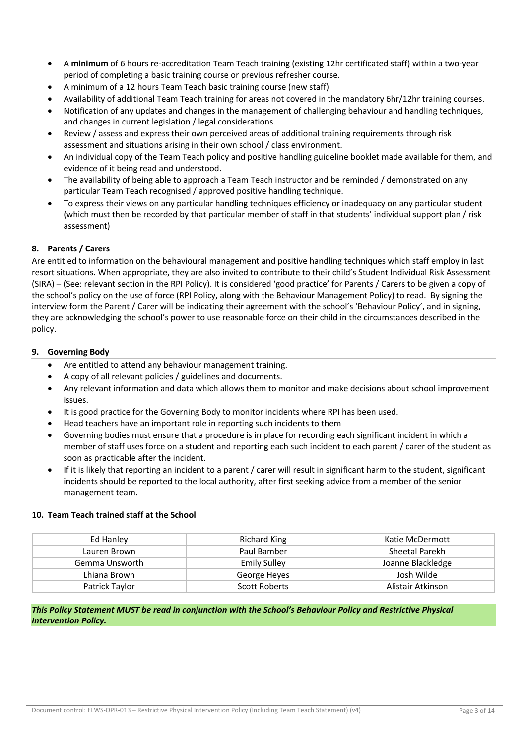- A **minimum** of 6 hours re-accreditation Team Teach training (existing 12hr certificated staff) within a two-year period of completing a basic training course or previous refresher course.
- A minimum of a 12 hours Team Teach basic training course (new staff)
- Availability of additional Team Teach training for areas not covered in the mandatory 6hr/12hr training courses.
- Notification of any updates and changes in the management of challenging behaviour and handling techniques, and changes in current legislation / legal considerations.
- Review / assess and express their own perceived areas of additional training requirements through risk assessment and situations arising in their own school / class environment.
- An individual copy of the Team Teach policy and positive handling guideline booklet made available for them, and evidence of it being read and understood.
- The availability of being able to approach a Team Teach instructor and be reminded / demonstrated on any particular Team Teach recognised / approved positive handling technique.
- To express their views on any particular handling techniques efficiency or inadequacy on any particular student (which must then be recorded by that particular member of staff in that students' individual support plan / risk assessment)

# **8. Parents / Carers**

Are entitled to information on the behavioural management and positive handling techniques which staff employ in last resort situations. When appropriate, they are also invited to contribute to their child's Student Individual Risk Assessment (SIRA) – (See: relevant section in the RPI Policy). It is considered 'good practice' for Parents / Carers to be given a copy of the school's policy on the use of force (RPI Policy, along with the Behaviour Management Policy) to read. By signing the interview form the Parent / Carer will be indicating their agreement with the school's 'Behaviour Policy', and in signing, they are acknowledging the school's power to use reasonable force on their child in the circumstances described in the policy.

# **9. Governing Body**

- Are entitled to attend any behaviour management training.
- A copy of all relevant policies / guidelines and documents.
- Any relevant information and data which allows them to monitor and make decisions about school improvement issues.
- It is good practice for the Governing Body to monitor incidents where RPI has been used.
- Head teachers have an important role in reporting such incidents to them
- Governing bodies must ensure that a procedure is in place for recording each significant incident in which a member of staff uses force on a student and reporting each such incident to each parent / carer of the student as soon as practicable after the incident.
- If it is likely that reporting an incident to a parent / carer will result in significant harm to the student, significant incidents should be reported to the local authority, after first seeking advice from a member of the senior management team.

# **10. Team Teach trained staff at the School**

| Ed Hanley      | Richard King        | Katie McDermott   |  |
|----------------|---------------------|-------------------|--|
| Lauren Brown   | Paul Bamber         | Sheetal Parekh    |  |
| Gemma Unsworth | <b>Emily Sulley</b> | Joanne Blackledge |  |
| Lhiana Brown   | George Heyes        | Josh Wilde        |  |
| Patrick Taylor | Scott Roberts       | Alistair Atkinson |  |

*This Policy Statement MUST be read in conjunction with the School's Behaviour Policy and Restrictive Physical Intervention Policy.*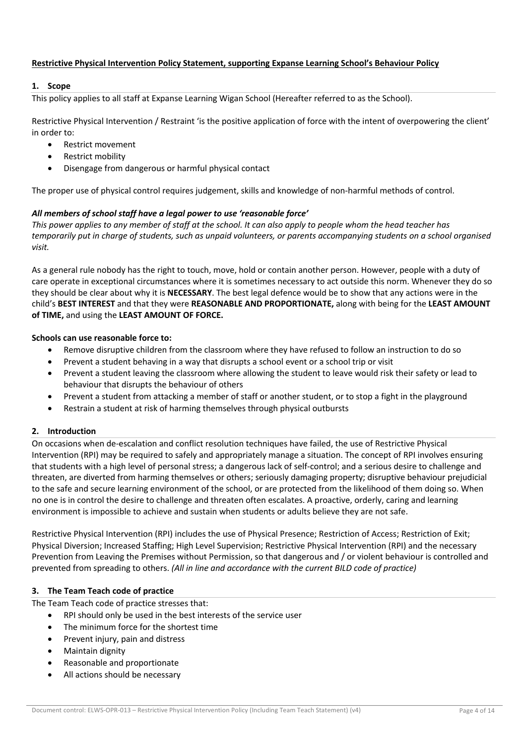# **Restrictive Physical Intervention Policy Statement, supporting Expanse Learning School's Behaviour Policy**

# **1. Scope**

This policy applies to all staff at Expanse Learning Wigan School (Hereafter referred to as the School).

Restrictive Physical Intervention / Restraint 'is the positive application of force with the intent of overpowering the client' in order to:

- Restrict movement
- Restrict mobility
- Disengage from dangerous or harmful physical contact

The proper use of physical control requires judgement, skills and knowledge of non-harmful methods of control.

# *All members of school staff have a legal power to use 'reasonable force'*

*This power applies to any member of staff at the school. It can also apply to people whom the head teacher has temporarily put in charge of students, such as unpaid volunteers, or parents accompanying students on a school organised visit.*

As a general rule nobody has the right to touch, move, hold or contain another person. However, people with a duty of care operate in exceptional circumstances where it is sometimes necessary to act outside this norm. Whenever they do so they should be clear about why it is **NECESSARY**. The best legal defence would be to show that any actions were in the child's **BEST INTEREST** and that they were **REASONABLE AND PROPORTIONATE,** along with being for the **LEAST AMOUNT of TIME,** and using the **LEAST AMOUNT OF FORCE.**

## **Schools can use reasonable force to:**

- Remove disruptive children from the classroom where they have refused to follow an instruction to do so
- Prevent a student behaving in a way that disrupts a school event or a school trip or visit
- Prevent a student leaving the classroom where allowing the student to leave would risk their safety or lead to behaviour that disrupts the behaviour of others
- Prevent a student from attacking a member of staff or another student, or to stop a fight in the playground
- Restrain a student at risk of harming themselves through physical outbursts

# **2. Introduction**

On occasions when de-escalation and conflict resolution techniques have failed, the use of Restrictive Physical Intervention (RPI) may be required to safely and appropriately manage a situation. The concept of RPI involves ensuring that students with a high level of personal stress; a dangerous lack of self-control; and a serious desire to challenge and threaten, are diverted from harming themselves or others; seriously damaging property; disruptive behaviour prejudicial to the safe and secure learning environment of the school, or are protected from the likelihood of them doing so. When no one is in control the desire to challenge and threaten often escalates. A proactive, orderly, caring and learning environment is impossible to achieve and sustain when students or adults believe they are not safe.

Restrictive Physical Intervention (RPI) includes the use of Physical Presence; Restriction of Access; Restriction of Exit; Physical Diversion; Increased Staffing; High Level Supervision; Restrictive Physical Intervention (RPI) and the necessary Prevention from Leaving the Premises without Permission, so that dangerous and / or violent behaviour is controlled and prevented from spreading to others. *(All in line and accordance with the current BILD code of practice)* 

# **3. The Team Teach code of practice**

The Team Teach code of practice stresses that:

- RPI should only be used in the best interests of the service user
	- The minimum force for the shortest time
	- Prevent injury, pain and distress
	- Maintain dignity
	- Reasonable and proportionate
	- All actions should be necessary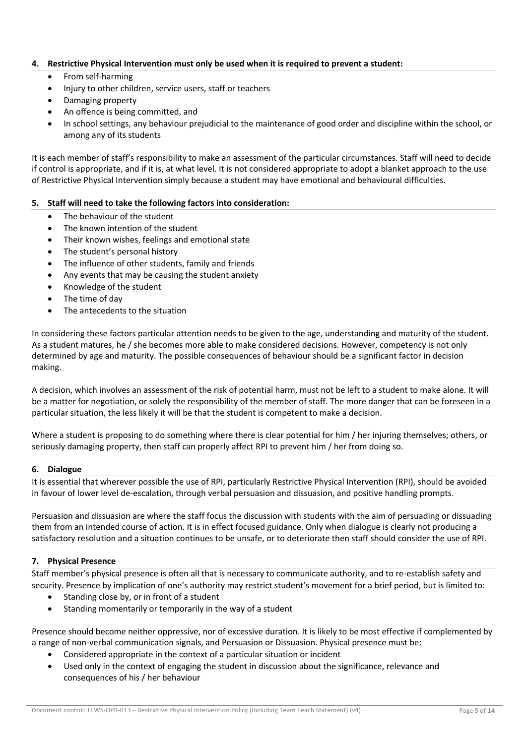## **4. Restrictive Physical Intervention must only be used when it is required to prevent a student:**

- From self-harming
- Injury to other children, service users, staff or teachers
- Damaging property
- An offence is being committed, and
- In school settings, any behaviour prejudicial to the maintenance of good order and discipline within the school, or among any of its students

It is each member of staff's responsibility to make an assessment of the particular circumstances. Staff will need to decide if control is appropriate, and if it is, at what level. It is not considered appropriate to adopt a blanket approach to the use of Restrictive Physical Intervention simply because a student may have emotional and behavioural difficulties.

## **5. Staff will need to take the following factors into consideration:**

- The behaviour of the student
- The known intention of the student
- Their known wishes, feelings and emotional state
- The student's personal history
- The influence of other students, family and friends
- Any events that may be causing the student anxiety
- Knowledge of the student
- The time of day
- The antecedents to the situation

In considering these factors particular attention needs to be given to the age, understanding and maturity of the student. As a student matures, he / she becomes more able to make considered decisions. However, competency is not only determined by age and maturity. The possible consequences of behaviour should be a significant factor in decision making.

A decision, which involves an assessment of the risk of potential harm, must not be left to a student to make alone. It will be a matter for negotiation, or solely the responsibility of the member of staff. The more danger that can be foreseen in a particular situation, the less likely it will be that the student is competent to make a decision.

Where a student is proposing to do something where there is clear potential for him / her injuring themselves; others, or seriously damaging property, then staff can properly affect RPI to prevent him / her from doing so.

#### **6. Dialogue**

It is essential that wherever possible the use of RPI, particularly Restrictive Physical Intervention (RPI), should be avoided in favour of lower level de-escalation, through verbal persuasion and dissuasion, and positive handling prompts.

Persuasion and dissuasion are where the staff focus the discussion with students with the aim of persuading or dissuading them from an intended course of action. It is in effect focused guidance. Only when dialogue is clearly not producing a satisfactory resolution and a situation continues to be unsafe, or to deteriorate then staff should consider the use of RPI.

# **7. Physical Presence**

Staff member's physical presence is often all that is necessary to communicate authority, and to re-establish safety and security. Presence by implication of one's authority may restrict student's movement for a brief period, but is limited to:

- Standing close by, or in front of a student
- Standing momentarily or temporarily in the way of a student

Presence should become neither oppressive, nor of excessive duration. It is likely to be most effective if complemented by a range of non-verbal communication signals, and Persuasion or Dissuasion. Physical presence must be:

- Considered appropriate in the context of a particular situation or incident
- Used only in the context of engaging the student in discussion about the significance, relevance and consequences of his / her behaviour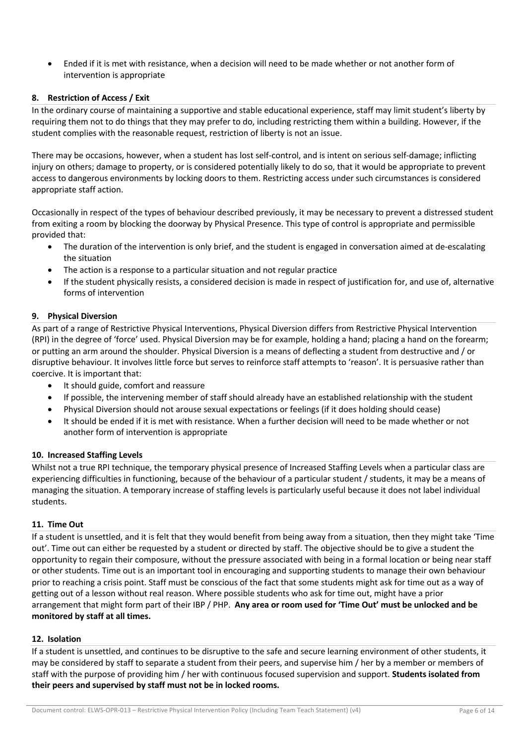• Ended if it is met with resistance, when a decision will need to be made whether or not another form of intervention is appropriate

## **8. Restriction of Access / Exit**

In the ordinary course of maintaining a supportive and stable educational experience, staff may limit student's liberty by requiring them not to do things that they may prefer to do, including restricting them within a building. However, if the student complies with the reasonable request, restriction of liberty is not an issue.

There may be occasions, however, when a student has lost self-control, and is intent on serious self-damage; inflicting injury on others; damage to property, or is considered potentially likely to do so, that it would be appropriate to prevent access to dangerous environments by locking doors to them. Restricting access under such circumstances is considered appropriate staff action.

Occasionally in respect of the types of behaviour described previously, it may be necessary to prevent a distressed student from exiting a room by blocking the doorway by Physical Presence. This type of control is appropriate and permissible provided that:

- The duration of the intervention is only brief, and the student is engaged in conversation aimed at de-escalating the situation
- The action is a response to a particular situation and not regular practice
- If the student physically resists, a considered decision is made in respect of justification for, and use of, alternative forms of intervention

## **9. Physical Diversion**

As part of a range of Restrictive Physical Interventions, Physical Diversion differs from Restrictive Physical Intervention (RPI) in the degree of 'force' used. Physical Diversion may be for example, holding a hand; placing a hand on the forearm; or putting an arm around the shoulder. Physical Diversion is a means of deflecting a student from destructive and / or disruptive behaviour. It involves little force but serves to reinforce staff attempts to 'reason'. It is persuasive rather than coercive. It is important that:

- It should guide, comfort and reassure
- If possible, the intervening member of staff should already have an established relationship with the student
- Physical Diversion should not arouse sexual expectations or feelings (if it does holding should cease)
- It should be ended if it is met with resistance. When a further decision will need to be made whether or not another form of intervention is appropriate

#### **10. Increased Staffing Levels**

Whilst not a true RPI technique, the temporary physical presence of Increased Staffing Levels when a particular class are experiencing difficulties in functioning, because of the behaviour of a particular student / students, it may be a means of managing the situation. A temporary increase of staffing levels is particularly useful because it does not label individual students.

#### **11. Time Out**

If a student is unsettled, and it is felt that they would benefit from being away from a situation, then they might take 'Time out'. Time out can either be requested by a student or directed by staff. The objective should be to give a student the opportunity to regain their composure, without the pressure associated with being in a formal location or being near staff or other students. Time out is an important tool in encouraging and supporting students to manage their own behaviour prior to reaching a crisis point. Staff must be conscious of the fact that some students might ask for time out as a way of getting out of a lesson without real reason. Where possible students who ask for time out, might have a prior arrangement that might form part of their IBP / PHP. **Any area or room used for 'Time Out' must be unlocked and be monitored by staff at all times.** 

#### **12. Isolation**

If a student is unsettled, and continues to be disruptive to the safe and secure learning environment of other students, it may be considered by staff to separate a student from their peers, and supervise him / her by a member or members of staff with the purpose of providing him / her with continuous focused supervision and support. **Students isolated from their peers and supervised by staff must not be in locked rooms.**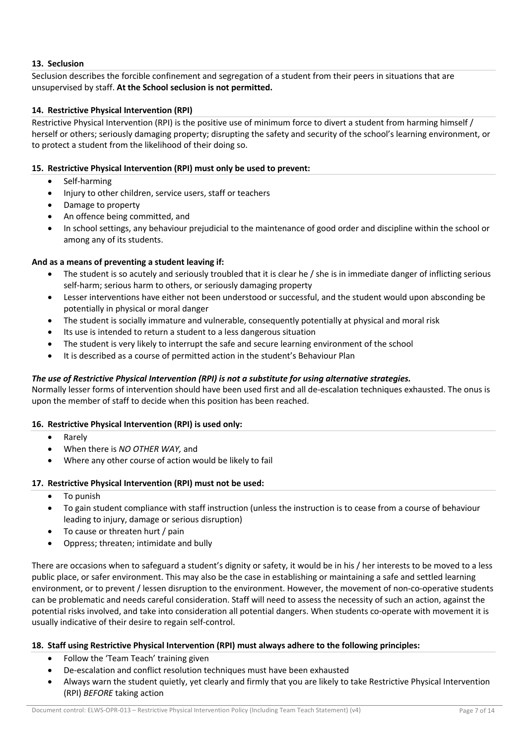# **13. Seclusion**

Seclusion describes the forcible confinement and segregation of a student from their peers in situations that are unsupervised by staff. **At the School seclusion is not permitted.** 

# **14. Restrictive Physical Intervention (RPI)**

Restrictive Physical Intervention (RPI) is the positive use of minimum force to divert a student from harming himself / herself or others; seriously damaging property; disrupting the safety and security of the school's learning environment, or to protect a student from the likelihood of their doing so.

## **15. Restrictive Physical Intervention (RPI) must only be used to prevent:**

- Self-harming
- Injury to other children, service users, staff or teachers
- Damage to property
- An offence being committed, and
- In school settings, any behaviour prejudicial to the maintenance of good order and discipline within the school or among any of its students.

## **And as a means of preventing a student leaving if:**

- The student is so acutely and seriously troubled that it is clear he / she is in immediate danger of inflicting serious self-harm; serious harm to others, or seriously damaging property
- Lesser interventions have either not been understood or successful, and the student would upon absconding be potentially in physical or moral danger
- The student is socially immature and vulnerable, consequently potentially at physical and moral risk
- Its use is intended to return a student to a less dangerous situation
- The student is very likely to interrupt the safe and secure learning environment of the school
- It is described as a course of permitted action in the student's Behaviour Plan

# *The use of Restrictive Physical Intervention (RPI) is not a substitute for using alternative strategies.*

Normally lesser forms of intervention should have been used first and all de-escalation techniques exhausted. The onus is upon the member of staff to decide when this position has been reached.

#### **16. Restrictive Physical Intervention (RPI) is used only:**

- Rarely
- When there is *NO OTHER WAY,* and
- Where any other course of action would be likely to fail

#### **17. Restrictive Physical Intervention (RPI) must not be used:**

- To punish
- To gain student compliance with staff instruction (unless the instruction is to cease from a course of behaviour leading to injury, damage or serious disruption)
- To cause or threaten hurt / pain
- Oppress; threaten; intimidate and bully

There are occasions when to safeguard a student's dignity or safety, it would be in his / her interests to be moved to a less public place, or safer environment. This may also be the case in establishing or maintaining a safe and settled learning environment, or to prevent / lessen disruption to the environment. However, the movement of non-co-operative students can be problematic and needs careful consideration. Staff will need to assess the necessity of such an action, against the potential risks involved, and take into consideration all potential dangers. When students co-operate with movement it is usually indicative of their desire to regain self-control.

#### **18. Staff using Restrictive Physical Intervention (RPI) must always adhere to the following principles:**

- Follow the 'Team Teach' training given
- De-escalation and conflict resolution techniques must have been exhausted
- Always warn the student quietly, yet clearly and firmly that you are likely to take Restrictive Physical Intervention (RPI) *BEFORE* taking action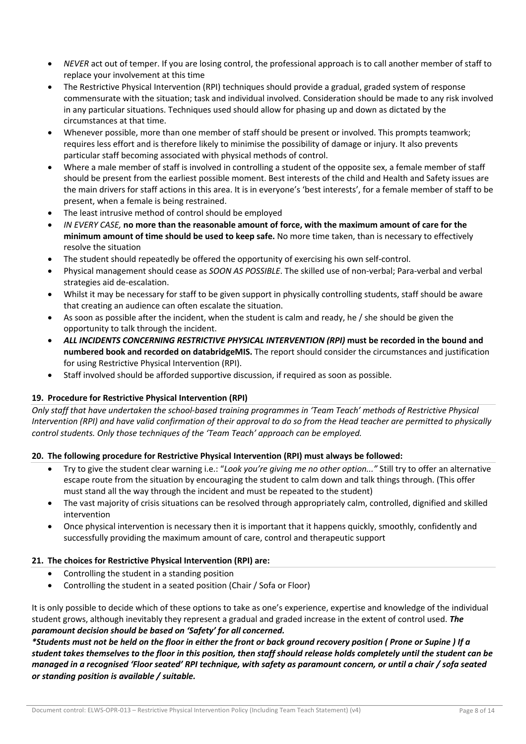- *NEVER* act out of temper. If you are losing control, the professional approach is to call another member of staff to replace your involvement at this time
- The Restrictive Physical Intervention (RPI) techniques should provide a gradual, graded system of response commensurate with the situation; task and individual involved. Consideration should be made to any risk involved in any particular situations. Techniques used should allow for phasing up and down as dictated by the circumstances at that time.
- Whenever possible, more than one member of staff should be present or involved. This prompts teamwork; requires less effort and is therefore likely to minimise the possibility of damage or injury. It also prevents particular staff becoming associated with physical methods of control.
- Where a male member of staff is involved in controlling a student of the opposite sex, a female member of staff should be present from the earliest possible moment. Best interests of the child and Health and Safety issues are the main drivers for staff actions in this area. It is in everyone's 'best interests', for a female member of staff to be present, when a female is being restrained.
- The least intrusive method of control should be employed
- *IN EVERY CASE,* **no more than the reasonable amount of force, with the maximum amount of care for the minimum amount of time should be used to keep safe.** No more time taken, than is necessary to effectively resolve the situation
- The student should repeatedly be offered the opportunity of exercising his own self-control.
- Physical management should cease as *SOON AS POSSIBLE*. The skilled use of non-verbal; Para-verbal and verbal strategies aid de-escalation.
- Whilst it may be necessary for staff to be given support in physically controlling students, staff should be aware that creating an audience can often escalate the situation.
- As soon as possible after the incident, when the student is calm and ready, he / she should be given the opportunity to talk through the incident.
- *ALL INCIDENTS CONCERNING RESTRICTIVE PHYSICAL INTERVENTION (RPI)* **must be recorded in the bound and numbered book and recorded on databridgeMIS.** The report should consider the circumstances and justification for using Restrictive Physical Intervention (RPI).
- Staff involved should be afforded supportive discussion, if required as soon as possible.

# **19. Procedure for Restrictive Physical Intervention (RPI)**

*Only staff that have undertaken the school-based training programmes in 'Team Teach' methods of Restrictive Physical Intervention (RPI) and have valid confirmation of their approval to do so from the Head teacher are permitted to physically control students. Only those techniques of the 'Team Teach' approach can be employed.* 

# **20. The following procedure for Restrictive Physical Intervention (RPI) must always be followed:**

- Try to give the student clear warning i.e.: "*Look you're giving me no other option..."* Still try to offer an alternative escape route from the situation by encouraging the student to calm down and talk things through. (This offer must stand all the way through the incident and must be repeated to the student)
- The vast majority of crisis situations can be resolved through appropriately calm, controlled, dignified and skilled intervention
- Once physical intervention is necessary then it is important that it happens quickly, smoothly, confidently and successfully providing the maximum amount of care, control and therapeutic support

# **21. The choices for Restrictive Physical Intervention (RPI) are:**

- Controlling the student in a standing position
- Controlling the student in a seated position (Chair / Sofa or Floor)

It is only possible to decide which of these options to take as one's experience, expertise and knowledge of the individual student grows, although inevitably they represent a gradual and graded increase in the extent of control used. *The paramount decision should be based on 'Safety' for all concerned.* 

*\*Students must not be held on the floor in either the front or back ground recovery position ( Prone or Supine ) If a student takes themselves to the floor in this position, then staff should release holds completely until the student can be managed in a recognised 'Floor seated' RPI technique, with safety as paramount concern, or until a chair / sofa seated or standing position is available / suitable.*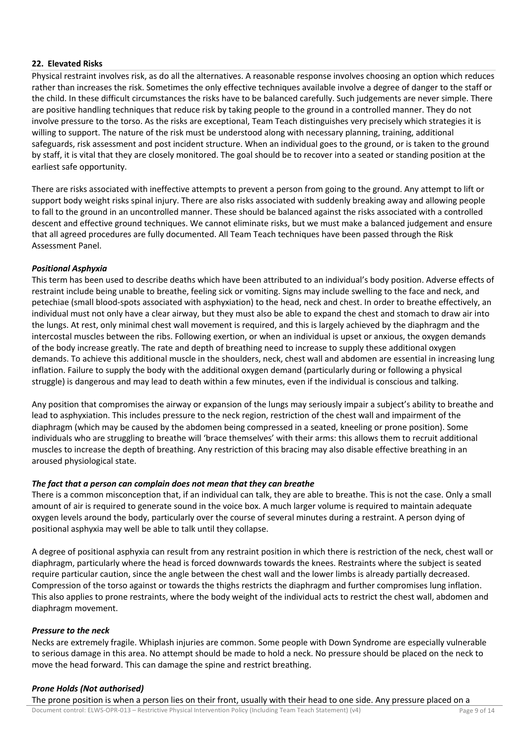## **22. Elevated Risks**

Physical restraint involves risk, as do all the alternatives. A reasonable response involves choosing an option which reduces rather than increases the risk. Sometimes the only effective techniques available involve a degree of danger to the staff or the child. In these difficult circumstances the risks have to be balanced carefully. Such judgements are never simple. There are positive handling techniques that reduce risk by taking people to the ground in a controlled manner. They do not involve pressure to the torso. As the risks are exceptional, Team Teach distinguishes very precisely which strategies it is willing to support. The nature of the risk must be understood along with necessary planning, training, additional safeguards, risk assessment and post incident structure. When an individual goes to the ground, or is taken to the ground by staff, it is vital that they are closely monitored. The goal should be to recover into a seated or standing position at the earliest safe opportunity.

There are risks associated with ineffective attempts to prevent a person from going to the ground. Any attempt to lift or support body weight risks spinal injury. There are also risks associated with suddenly breaking away and allowing people to fall to the ground in an uncontrolled manner. These should be balanced against the risks associated with a controlled descent and effective ground techniques. We cannot eliminate risks, but we must make a balanced judgement and ensure that all agreed procedures are fully documented. All Team Teach techniques have been passed through the Risk Assessment Panel.

## *Positional Asphyxia*

This term has been used to describe deaths which have been attributed to an individual's body position. Adverse effects of restraint include being unable to breathe, feeling sick or vomiting. Signs may include swelling to the face and neck, and petechiae (small blood-spots associated with asphyxiation) to the head, neck and chest. In order to breathe effectively, an individual must not only have a clear airway, but they must also be able to expand the chest and stomach to draw air into the lungs. At rest, only minimal chest wall movement is required, and this is largely achieved by the diaphragm and the intercostal muscles between the ribs. Following exertion, or when an individual is upset or anxious, the oxygen demands of the body increase greatly. The rate and depth of breathing need to increase to supply these additional oxygen demands. To achieve this additional muscle in the shoulders, neck, chest wall and abdomen are essential in increasing lung inflation. Failure to supply the body with the additional oxygen demand (particularly during or following a physical struggle) is dangerous and may lead to death within a few minutes, even if the individual is conscious and talking.

Any position that compromises the airway or expansion of the lungs may seriously impair a subject's ability to breathe and lead to asphyxiation. This includes pressure to the neck region, restriction of the chest wall and impairment of the diaphragm (which may be caused by the abdomen being compressed in a seated, kneeling or prone position). Some individuals who are struggling to breathe will 'brace themselves' with their arms: this allows them to recruit additional muscles to increase the depth of breathing. Any restriction of this bracing may also disable effective breathing in an aroused physiological state.

#### *The fact that a person can complain does not mean that they can breathe*

There is a common misconception that, if an individual can talk, they are able to breathe. This is not the case. Only a small amount of air is required to generate sound in the voice box. A much larger volume is required to maintain adequate oxygen levels around the body, particularly over the course of several minutes during a restraint. A person dying of positional asphyxia may well be able to talk until they collapse.

A degree of positional asphyxia can result from any restraint position in which there is restriction of the neck, chest wall or diaphragm, particularly where the head is forced downwards towards the knees. Restraints where the subject is seated require particular caution, since the angle between the chest wall and the lower limbs is already partially decreased. Compression of the torso against or towards the thighs restricts the diaphragm and further compromises lung inflation. This also applies to prone restraints, where the body weight of the individual acts to restrict the chest wall, abdomen and diaphragm movement.

#### *Pressure to the neck*

Necks are extremely fragile. Whiplash injuries are common. Some people with Down Syndrome are especially vulnerable to serious damage in this area. No attempt should be made to hold a neck. No pressure should be placed on the neck to move the head forward. This can damage the spine and restrict breathing.

# *Prone Holds (Not authorised)*

The prone position is when a person lies on their front, usually with their head to one side. Any pressure placed on a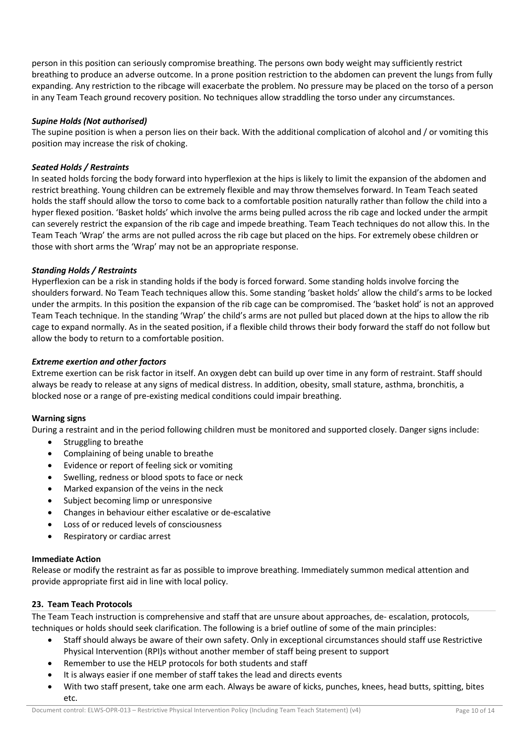person in this position can seriously compromise breathing. The persons own body weight may sufficiently restrict breathing to produce an adverse outcome. In a prone position restriction to the abdomen can prevent the lungs from fully expanding. Any restriction to the ribcage will exacerbate the problem. No pressure may be placed on the torso of a person in any Team Teach ground recovery position. No techniques allow straddling the torso under any circumstances.

## *Supine Holds (Not authorised)*

The supine position is when a person lies on their back. With the additional complication of alcohol and / or vomiting this position may increase the risk of choking.

# *Seated Holds / Restraints*

In seated holds forcing the body forward into hyperflexion at the hips is likely to limit the expansion of the abdomen and restrict breathing. Young children can be extremely flexible and may throw themselves forward. In Team Teach seated holds the staff should allow the torso to come back to a comfortable position naturally rather than follow the child into a hyper flexed position. 'Basket holds' which involve the arms being pulled across the rib cage and locked under the armpit can severely restrict the expansion of the rib cage and impede breathing. Team Teach techniques do not allow this. In the Team Teach 'Wrap' the arms are not pulled across the rib cage but placed on the hips. For extremely obese children or those with short arms the 'Wrap' may not be an appropriate response.

## *Standing Holds / Restraints*

Hyperflexion can be a risk in standing holds if the body is forced forward. Some standing holds involve forcing the shoulders forward. No Team Teach techniques allow this. Some standing 'basket holds' allow the child's arms to be locked under the armpits. In this position the expansion of the rib cage can be compromised. The 'basket hold' is not an approved Team Teach technique. In the standing 'Wrap' the child's arms are not pulled but placed down at the hips to allow the rib cage to expand normally. As in the seated position, if a flexible child throws their body forward the staff do not follow but allow the body to return to a comfortable position.

## *Extreme exertion and other factors*

Extreme exertion can be risk factor in itself. An oxygen debt can build up over time in any form of restraint. Staff should always be ready to release at any signs of medical distress. In addition, obesity, small stature, asthma, bronchitis, a blocked nose or a range of pre-existing medical conditions could impair breathing.

# **Warning signs**

During a restraint and in the period following children must be monitored and supported closely. Danger signs include:

- Struggling to breathe
- Complaining of being unable to breathe
- Evidence or report of feeling sick or vomiting
- Swelling, redness or blood spots to face or neck
- Marked expansion of the veins in the neck
- Subject becoming limp or unresponsive
- Changes in behaviour either escalative or de-escalative
- Loss of or reduced levels of consciousness
- Respiratory or cardiac arrest

#### **Immediate Action**

Release or modify the restraint as far as possible to improve breathing. Immediately summon medical attention and provide appropriate first aid in line with local policy.

#### **23. Team Teach Protocols**

The Team Teach instruction is comprehensive and staff that are unsure about approaches, de- escalation, protocols, techniques or holds should seek clarification. The following is a brief outline of some of the main principles:

- Staff should always be aware of their own safety. Only in exceptional circumstances should staff use Restrictive Physical Intervention (RPI)s without another member of staff being present to support
- Remember to use the HELP protocols for both students and staff
- It is always easier if one member of staff takes the lead and directs events
- With two staff present, take one arm each. Always be aware of kicks, punches, knees, head butts, spitting, bites etc.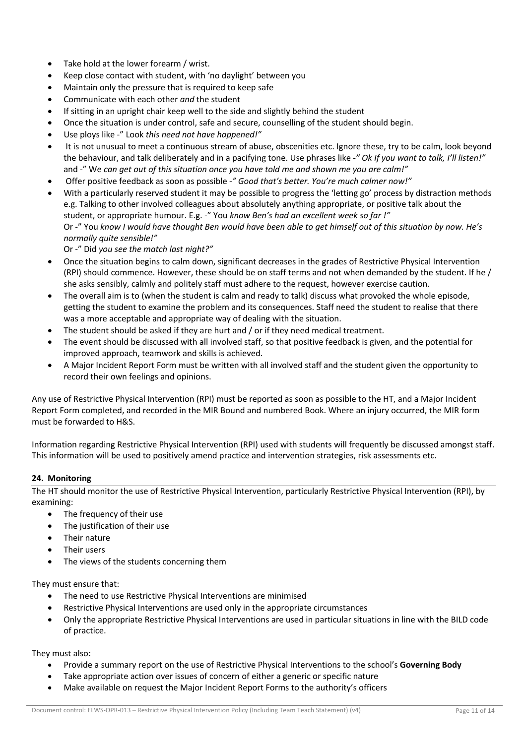- Take hold at the lower forearm / wrist.
- Keep close contact with student, with 'no daylight' between you
- Maintain only the pressure that is required to keep safe
- Communicate with each other *and* the student
- If sitting in an upright chair keep well to the side and slightly behind the student
- Once the situation is under control, safe and secure, counselling of the student should begin.
- Use ploys like -" Look *this need not have happened!"*
- It is not unusual to meet a continuous stream of abuse, obscenities etc. Ignore these, try to be calm, look beyond the behaviour, and talk deliberately and in a pacifying tone. Use phrases like -*" Ok If you want to talk, I'll listen!"*  and -" We *can get out of this situation once you have told me and shown me you are calm!"*
- Offer positive feedback as soon as possible -*" Good that's better. You're much calmer now!"*
- With a particularly reserved student it may be possible to progress the 'letting go' process by distraction methods e.g. Talking to other involved colleagues about absolutely anything appropriate, or positive talk about the student, or appropriate humour. E.g. -" You *know Ben's had an excellent week so far !"* Or -" You *know I would have thought Ben would have been able to get himself out of this situation by now. He's normally quite sensible!"*

Or -" Did *you see the match last night?"* 

- Once the situation begins to calm down, significant decreases in the grades of Restrictive Physical Intervention (RPI) should commence. However, these should be on staff terms and not when demanded by the student. If he / she asks sensibly, calmly and politely staff must adhere to the request, however exercise caution.
- The overall aim is to (when the student is calm and ready to talk) discuss what provoked the whole episode, getting the student to examine the problem and its consequences. Staff need the student to realise that there was a more acceptable and appropriate way of dealing with the situation.
- The student should be asked if they are hurt and / or if they need medical treatment.
- The event should be discussed with all involved staff, so that positive feedback is given, and the potential for improved approach, teamwork and skills is achieved.
- A Major Incident Report Form must be written with all involved staff and the student given the opportunity to record their own feelings and opinions.

Any use of Restrictive Physical Intervention (RPI) must be reported as soon as possible to the HT, and a Major Incident Report Form completed, and recorded in the MIR Bound and numbered Book. Where an injury occurred, the MIR form must be forwarded to H&S.

Information regarding Restrictive Physical Intervention (RPI) used with students will frequently be discussed amongst staff. This information will be used to positively amend practice and intervention strategies, risk assessments etc.

# **24. Monitoring**

The HT should monitor the use of Restrictive Physical Intervention, particularly Restrictive Physical Intervention (RPI), by examining:

- The frequency of their use
- The justification of their use
- Their nature
- Their users
- The views of the students concerning them

They must ensure that:

- The need to use Restrictive Physical Interventions are minimised
- Restrictive Physical Interventions are used only in the appropriate circumstances
- Only the appropriate Restrictive Physical Interventions are used in particular situations in line with the BILD code of practice.

They must also:

- Provide a summary report on the use of Restrictive Physical Interventions to the school's **Governing Body**
- Take appropriate action over issues of concern of either a generic or specific nature
- Make available on request the Major Incident Report Forms to the authority's officers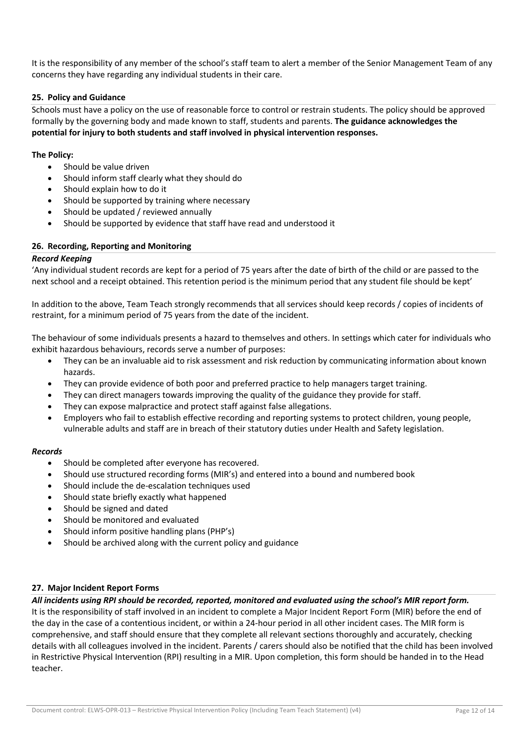It is the responsibility of any member of the school's staff team to alert a member of the Senior Management Team of any concerns they have regarding any individual students in their care.

## **25. Policy and Guidance**

Schools must have a policy on the use of reasonable force to control or restrain students. The policy should be approved formally by the governing body and made known to staff, students and parents. **The guidance acknowledges the potential for injury to both students and staff involved in physical intervention responses.** 

## **The Policy:**

- Should be value driven
- Should inform staff clearly what they should do
- Should explain how to do it
- Should be supported by training where necessary
- Should be updated / reviewed annually
- Should be supported by evidence that staff have read and understood it

#### **26. Recording, Reporting and Monitoring**

#### *Record Keeping*

'Any individual student records are kept for a period of 75 years after the date of birth of the child or are passed to the next school and a receipt obtained. This retention period is the minimum period that any student file should be kept'

In addition to the above, Team Teach strongly recommends that all services should keep records / copies of incidents of restraint, for a minimum period of 75 years from the date of the incident.

The behaviour of some individuals presents a hazard to themselves and others. In settings which cater for individuals who exhibit hazardous behaviours, records serve a number of purposes:

- They can be an invaluable aid to risk assessment and risk reduction by communicating information about known hazards.
- They can provide evidence of both poor and preferred practice to help managers target training.
- They can direct managers towards improving the quality of the guidance they provide for staff.
- They can expose malpractice and protect staff against false allegations.
- Employers who fail to establish effective recording and reporting systems to protect children, young people, vulnerable adults and staff are in breach of their statutory duties under Health and Safety legislation.

#### *Records*

teacher.

- Should be completed after everyone has recovered.
- Should use structured recording forms (MIR's) and entered into a bound and numbered book
- Should include the de-escalation techniques used
- Should state briefly exactly what happened
- Should be signed and dated
- Should be monitored and evaluated
- Should inform positive handling plans (PHP's)
- Should be archived along with the current policy and guidance

#### **27. Major Incident Report Forms**

*All incidents using RPI should be recorded, reported, monitored and evaluated using the school's MIR report form.*  It is the responsibility of staff involved in an incident to complete a Major Incident Report Form (MIR) before the end of the day in the case of a contentious incident, or within a 24-hour period in all other incident cases. The MIR form is comprehensive, and staff should ensure that they complete all relevant sections thoroughly and accurately, checking details with all colleagues involved in the incident. Parents / carers should also be notified that the child has been involved in Restrictive Physical Intervention (RPI) resulting in a MIR. Upon completion, this form should be handed in to the Head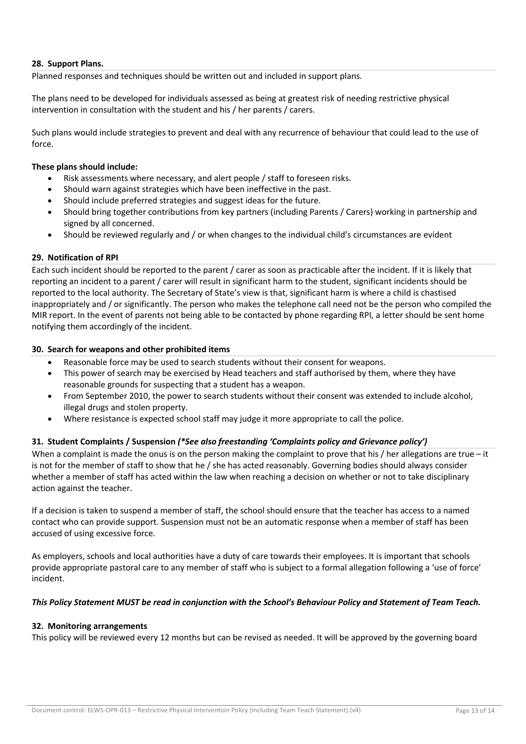## **28. Support Plans.**

Planned responses and techniques should be written out and included in support plans.

The plans need to be developed for individuals assessed as being at greatest risk of needing restrictive physical intervention in consultation with the student and his / her parents / carers.

Such plans would include strategies to prevent and deal with any recurrence of behaviour that could lead to the use of force.

#### **These plans should include:**

- Risk assessments where necessary, and alert people / staff to foreseen risks.
- Should warn against strategies which have been ineffective in the past.
- Should include preferred strategies and suggest ideas for the future.
- Should bring together contributions from key partners (including Parents / Carers) working in partnership and signed by all concerned.
- Should be reviewed regularly and / or when changes to the individual child's circumstances are evident

## **29. Notification of RPI**

Each such incident should be reported to the parent / carer as soon as practicable after the incident. If it is likely that reporting an incident to a parent / carer will result in significant harm to the student, significant incidents should be reported to the local authority. The Secretary of State's view is that, significant harm is where a child is chastised inappropriately and / or significantly. The person who makes the telephone call need not be the person who compiled the MIR report. In the event of parents not being able to be contacted by phone regarding RPI, a letter should be sent home notifying them accordingly of the incident.

## **30. Search for weapons and other prohibited items**

- Reasonable force may be used to search students without their consent for weapons.
- This power of search may be exercised by Head teachers and staff authorised by them, where they have reasonable grounds for suspecting that a student has a weapon.
- From September 2010, the power to search students without their consent was extended to include alcohol, illegal drugs and stolen property.
- Where resistance is expected school staff may judge it more appropriate to call the police.

# **31. Student Complaints / Suspension** *(\*See also freestanding 'Complaints policy and Grievance policy')*

When a complaint is made the onus is on the person making the complaint to prove that his  $/$  her allegations are true – it is not for the member of staff to show that he / she has acted reasonably. Governing bodies should always consider whether a member of staff has acted within the law when reaching a decision on whether or not to take disciplinary action against the teacher.

If a decision is taken to suspend a member of staff, the school should ensure that the teacher has access to a named contact who can provide support. Suspension must not be an automatic response when a member of staff has been accused of using excessive force.

As employers, schools and local authorities have a duty of care towards their employees. It is important that schools provide appropriate pastoral care to any member of staff who is subject to a formal allegation following a 'use of force' incident.

#### *This Policy Statement MUST be read in conjunction with the School's Behaviour Policy and Statement of Team Teach.*

# **32. Monitoring arrangements**

This policy will be reviewed every 12 months but can be revised as needed. It will be approved by the governing board